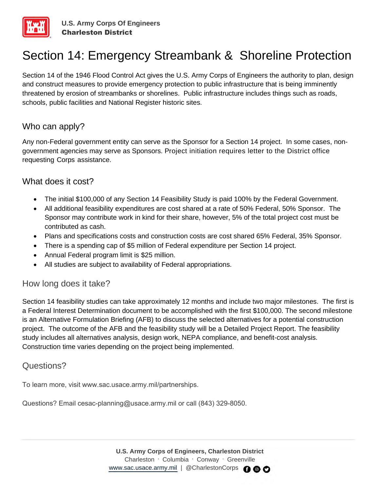

# Section 14: Emergency Streambank & Shoreline Protection

Section 14 of the 1946 Flood Control Act gives the U.S. Army Corps of Engineers the authority to plan, design and construct measures to provide emergency protection to public infrastructure that is being imminently threatened by erosion of streambanks or shorelines. Public infrastructure includes things such as roads, schools, public facilities and National Register historic sites.

## Who can apply?

Any non-Federal government entity can serve as the Sponsor for a Section 14 project. In some cases, nongovernment agencies may serve as Sponsors. Project initiation requires letter to the District office requesting Corps assistance.

### What does it cost?

- The initial \$100,000 of any Section 14 Feasibility Study is paid 100% by the Federal Government.
- All additional feasibility expenditures are cost shared at a rate of 50% Federal, 50% Sponsor. The Sponsor may contribute work in kind for their share, however, 5% of the total project cost must be contributed as cash.
- Plans and specifications costs and construction costs are cost shared 65% Federal, 35% Sponsor.
- There is a spending cap of \$5 million of Federal expenditure per Section 14 project.
- Annual Federal program limit is \$25 million.
- All studies are subject to availability of Federal appropriations.

### How long does it take?

Section 14 feasibility studies can take approximately 12 months and include two major milestones. The first is a Federal Interest Determination document to be accomplished with the first \$100,000. The second milestone is an Alternative Formulation Briefing (AFB) to discuss the selected alternatives for a potential construction project. The outcome of the AFB and the feasibility study will be a Detailed Project Report. The feasibility study includes all alternatives analysis, design work, NEPA compliance, and benefit-cost analysis. Construction time varies depending on the project being implemented.

### Questions?

To learn more, visit www.sac.usace.army.mil/partnerships.

Questions? Email cesac-planning@usace.army.mil or call (843) 329-8050.